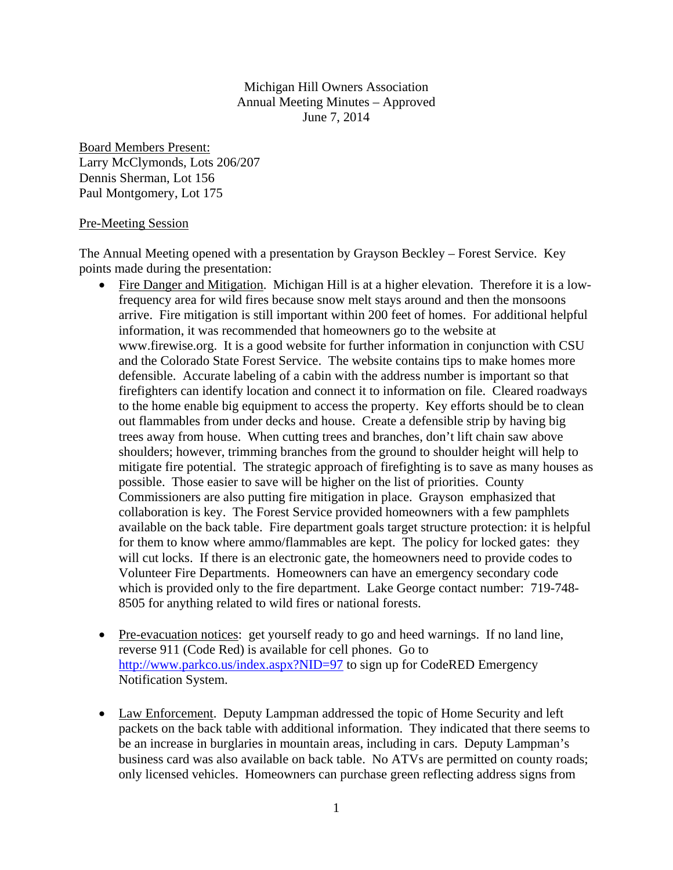### Michigan Hill Owners Association Annual Meeting Minutes – Approved June 7, 2014

Board Members Present: Larry McClymonds, Lots 206/207 Dennis Sherman, Lot 156 Paul Montgomery, Lot 175

#### Pre-Meeting Session

The Annual Meeting opened with a presentation by Grayson Beckley – Forest Service. Key points made during the presentation:

- Fire Danger and Mitigation. Michigan Hill is at a higher elevation. Therefore it is a lowfrequency area for wild fires because snow melt stays around and then the monsoons arrive. Fire mitigation is still important within 200 feet of homes. For additional helpful information, it was recommended that homeowners go to the website at www.firewise.org. It is a good website for further information in conjunction with CSU and the Colorado State Forest Service. The website contains tips to make homes more defensible. Accurate labeling of a cabin with the address number is important so that firefighters can identify location and connect it to information on file. Cleared roadways to the home enable big equipment to access the property. Key efforts should be to clean out flammables from under decks and house. Create a defensible strip by having big trees away from house. When cutting trees and branches, don't lift chain saw above shoulders; however, trimming branches from the ground to shoulder height will help to mitigate fire potential. The strategic approach of firefighting is to save as many houses as possible. Those easier to save will be higher on the list of priorities. County Commissioners are also putting fire mitigation in place. Grayson emphasized that collaboration is key. The Forest Service provided homeowners with a few pamphlets available on the back table. Fire department goals target structure protection: it is helpful for them to know where ammo/flammables are kept. The policy for locked gates: they will cut locks. If there is an electronic gate, the homeowners need to provide codes to Volunteer Fire Departments. Homeowners can have an emergency secondary code which is provided only to the fire department. Lake George contact number: 719-748- 8505 for anything related to wild fires or national forests.
- Pre-evacuation notices: get yourself ready to go and heed warnings. If no land line, reverse 911 (Code Red) is available for cell phones. Go to http://www.parkco.us/index.aspx?NID=97 to sign up for CodeRED Emergency Notification System.
- Law Enforcement. Deputy Lampman addressed the topic of Home Security and left packets on the back table with additional information. They indicated that there seems to be an increase in burglaries in mountain areas, including in cars. Deputy Lampman's business card was also available on back table. No ATVs are permitted on county roads; only licensed vehicles. Homeowners can purchase green reflecting address signs from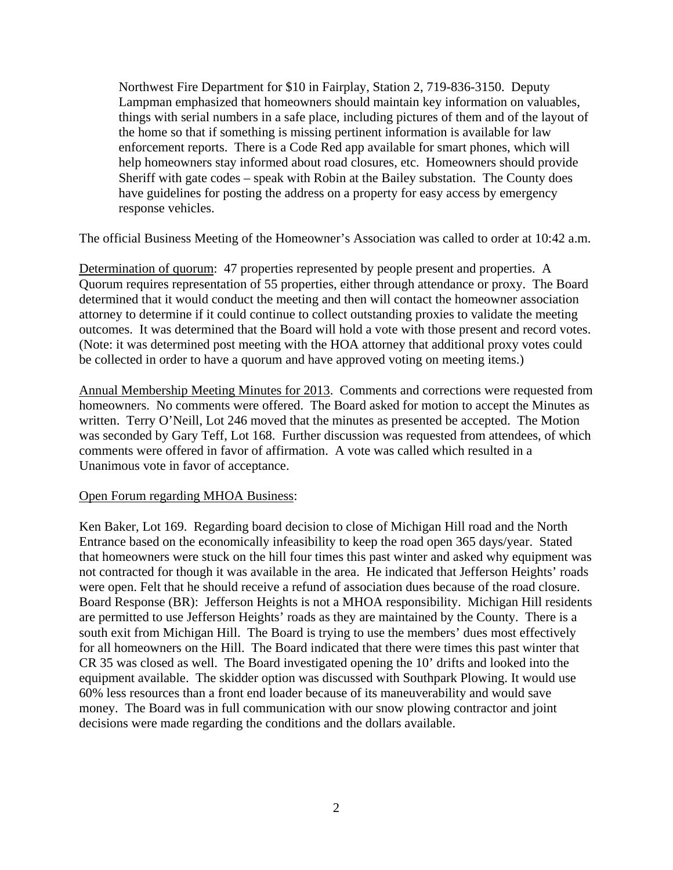Northwest Fire Department for \$10 in Fairplay, Station 2, 719-836-3150. Deputy Lampman emphasized that homeowners should maintain key information on valuables, things with serial numbers in a safe place, including pictures of them and of the layout of the home so that if something is missing pertinent information is available for law enforcement reports. There is a Code Red app available for smart phones, which will help homeowners stay informed about road closures, etc. Homeowners should provide Sheriff with gate codes – speak with Robin at the Bailey substation. The County does have guidelines for posting the address on a property for easy access by emergency response vehicles.

The official Business Meeting of the Homeowner's Association was called to order at 10:42 a.m.

Determination of quorum: 47 properties represented by people present and properties. A Quorum requires representation of 55 properties, either through attendance or proxy. The Board determined that it would conduct the meeting and then will contact the homeowner association attorney to determine if it could continue to collect outstanding proxies to validate the meeting outcomes. It was determined that the Board will hold a vote with those present and record votes. (Note: it was determined post meeting with the HOA attorney that additional proxy votes could be collected in order to have a quorum and have approved voting on meeting items.)

Annual Membership Meeting Minutes for 2013. Comments and corrections were requested from homeowners. No comments were offered. The Board asked for motion to accept the Minutes as written. Terry O'Neill, Lot 246 moved that the minutes as presented be accepted. The Motion was seconded by Gary Teff, Lot 168. Further discussion was requested from attendees, of which comments were offered in favor of affirmation. A vote was called which resulted in a Unanimous vote in favor of acceptance.

#### Open Forum regarding MHOA Business:

Ken Baker, Lot 169. Regarding board decision to close of Michigan Hill road and the North Entrance based on the economically infeasibility to keep the road open 365 days/year. Stated that homeowners were stuck on the hill four times this past winter and asked why equipment was not contracted for though it was available in the area. He indicated that Jefferson Heights' roads were open. Felt that he should receive a refund of association dues because of the road closure. Board Response (BR): Jefferson Heights is not a MHOA responsibility. Michigan Hill residents are permitted to use Jefferson Heights' roads as they are maintained by the County. There is a south exit from Michigan Hill. The Board is trying to use the members' dues most effectively for all homeowners on the Hill. The Board indicated that there were times this past winter that CR 35 was closed as well. The Board investigated opening the 10' drifts and looked into the equipment available. The skidder option was discussed with Southpark Plowing. It would use 60% less resources than a front end loader because of its maneuverability and would save money. The Board was in full communication with our snow plowing contractor and joint decisions were made regarding the conditions and the dollars available.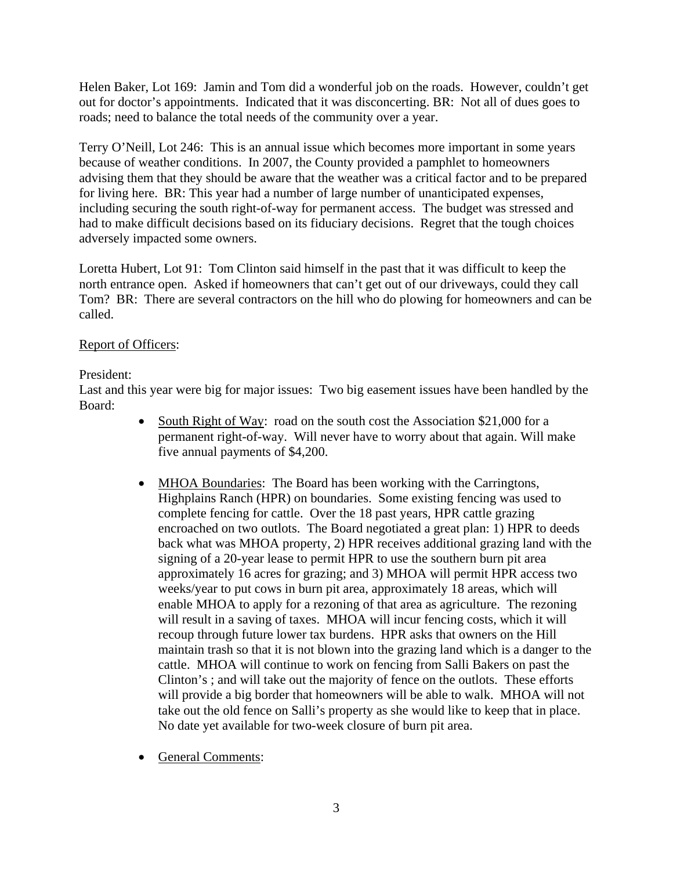Helen Baker, Lot 169: Jamin and Tom did a wonderful job on the roads. However, couldn't get out for doctor's appointments. Indicated that it was disconcerting. BR: Not all of dues goes to roads; need to balance the total needs of the community over a year.

Terry O'Neill, Lot 246: This is an annual issue which becomes more important in some years because of weather conditions. In 2007, the County provided a pamphlet to homeowners advising them that they should be aware that the weather was a critical factor and to be prepared for living here. BR: This year had a number of large number of unanticipated expenses, including securing the south right-of-way for permanent access. The budget was stressed and had to make difficult decisions based on its fiduciary decisions. Regret that the tough choices adversely impacted some owners.

Loretta Hubert, Lot 91: Tom Clinton said himself in the past that it was difficult to keep the north entrance open. Asked if homeowners that can't get out of our driveways, could they call Tom? BR: There are several contractors on the hill who do plowing for homeowners and can be called.

# Report of Officers:

## President:

Last and this year were big for major issues: Two big easement issues have been handled by the Board:

- South Right of Way: road on the south cost the Association \$21,000 for a permanent right-of-way. Will never have to worry about that again. Will make five annual payments of \$4,200.
- MHOA Boundaries: The Board has been working with the Carringtons, Highplains Ranch (HPR) on boundaries. Some existing fencing was used to complete fencing for cattle. Over the 18 past years, HPR cattle grazing encroached on two outlots. The Board negotiated a great plan: 1) HPR to deeds back what was MHOA property, 2) HPR receives additional grazing land with the signing of a 20-year lease to permit HPR to use the southern burn pit area approximately 16 acres for grazing; and 3) MHOA will permit HPR access two weeks/year to put cows in burn pit area, approximately 18 areas, which will enable MHOA to apply for a rezoning of that area as agriculture. The rezoning will result in a saving of taxes. MHOA will incur fencing costs, which it will recoup through future lower tax burdens. HPR asks that owners on the Hill maintain trash so that it is not blown into the grazing land which is a danger to the cattle. MHOA will continue to work on fencing from Salli Bakers on past the Clinton's ; and will take out the majority of fence on the outlots. These efforts will provide a big border that homeowners will be able to walk. MHOA will not take out the old fence on Salli's property as she would like to keep that in place. No date yet available for two-week closure of burn pit area.
- General Comments: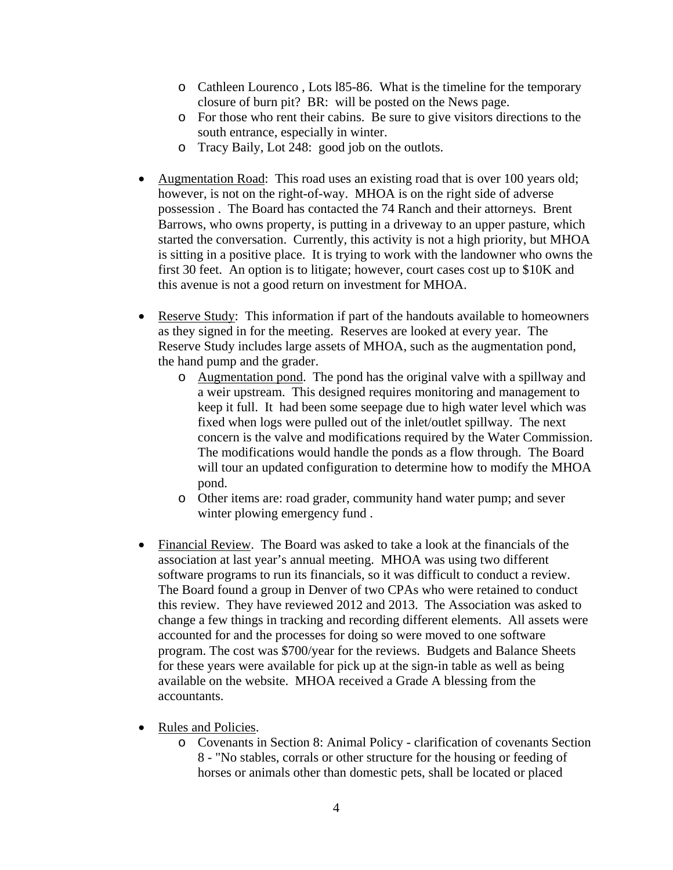- o Cathleen Lourenco , Lots l85-86. What is the timeline for the temporary closure of burn pit? BR: will be posted on the News page.
- o For those who rent their cabins. Be sure to give visitors directions to the south entrance, especially in winter.
- o Tracy Baily, Lot 248: good job on the outlots.
- Augmentation Road: This road uses an existing road that is over 100 years old; however, is not on the right-of-way. MHOA is on the right side of adverse possession . The Board has contacted the 74 Ranch and their attorneys. Brent Barrows, who owns property, is putting in a driveway to an upper pasture, which started the conversation. Currently, this activity is not a high priority, but MHOA is sitting in a positive place. It is trying to work with the landowner who owns the first 30 feet. An option is to litigate; however, court cases cost up to \$10K and this avenue is not a good return on investment for MHOA.
- Reserve Study: This information if part of the handouts available to homeowners as they signed in for the meeting. Reserves are looked at every year. The Reserve Study includes large assets of MHOA, such as the augmentation pond, the hand pump and the grader.
	- o Augmentation pond. The pond has the original valve with a spillway and a weir upstream. This designed requires monitoring and management to keep it full. It had been some seepage due to high water level which was fixed when logs were pulled out of the inlet/outlet spillway. The next concern is the valve and modifications required by the Water Commission. The modifications would handle the ponds as a flow through. The Board will tour an updated configuration to determine how to modify the MHOA pond.
	- o Other items are: road grader, community hand water pump; and sever winter plowing emergency fund .
- Financial Review. The Board was asked to take a look at the financials of the association at last year's annual meeting. MHOA was using two different software programs to run its financials, so it was difficult to conduct a review. The Board found a group in Denver of two CPAs who were retained to conduct this review. They have reviewed 2012 and 2013. The Association was asked to change a few things in tracking and recording different elements. All assets were accounted for and the processes for doing so were moved to one software program. The cost was \$700/year for the reviews. Budgets and Balance Sheets for these years were available for pick up at the sign-in table as well as being available on the website. MHOA received a Grade A blessing from the accountants.
- Rules and Policies.
	- o Covenants in Section 8: Animal Policy clarification of covenants Section 8 - "No stables, corrals or other structure for the housing or feeding of horses or animals other than domestic pets, shall be located or placed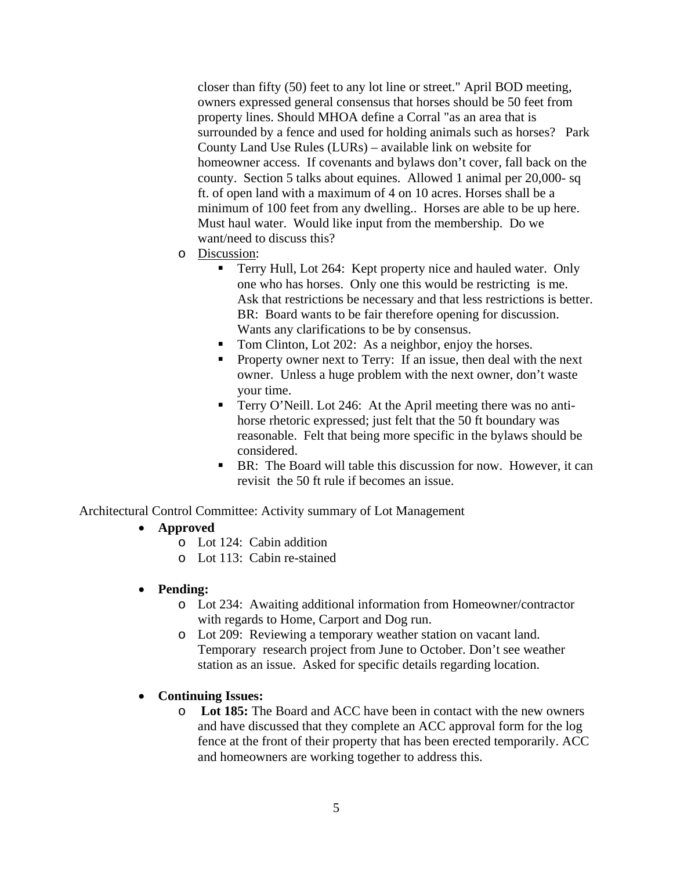closer than fifty (50) feet to any lot line or street." April BOD meeting, owners expressed general consensus that horses should be 50 feet from property lines. Should MHOA define a Corral "as an area that is surrounded by a fence and used for holding animals such as horses? Park County Land Use Rules (LURs) – available link on website for homeowner access. If covenants and bylaws don't cover, fall back on the county. Section 5 talks about equines. Allowed 1 animal per 20,000- sq ft. of open land with a maximum of 4 on 10 acres. Horses shall be a minimum of 100 feet from any dwelling.. Horses are able to be up here. Must haul water. Would like input from the membership. Do we want/need to discuss this?

- o Discussion:
	- Terry Hull, Lot 264: Kept property nice and hauled water. Only one who has horses. Only one this would be restricting is me. Ask that restrictions be necessary and that less restrictions is better. BR: Board wants to be fair therefore opening for discussion. Wants any clarifications to be by consensus.
	- Tom Clinton, Lot 202: As a neighbor, enjoy the horses.
	- **Property owner next to Terry:** If an issue, then deal with the next owner. Unless a huge problem with the next owner, don't waste your time.
	- Terry O'Neill. Lot 246: At the April meeting there was no antihorse rhetoric expressed; just felt that the 50 ft boundary was reasonable. Felt that being more specific in the bylaws should be considered.
	- BR: The Board will table this discussion for now. However, it can revisit the 50 ft rule if becomes an issue.

Architectural Control Committee: Activity summary of Lot Management

- **Approved** 
	- o Lot 124: Cabin addition
	- o Lot 113: Cabin re-stained

#### • **Pending:**

- o Lot 234: Awaiting additional information from Homeowner/contractor with regards to Home, Carport and Dog run.
- o Lot 209: Reviewing a temporary weather station on vacant land. Temporary research project from June to October. Don't see weather station as an issue. Asked for specific details regarding location.

#### • **Continuing Issues:**

o **Lot 185:** The Board and ACC have been in contact with the new owners and have discussed that they complete an ACC approval form for the log fence at the front of their property that has been erected temporarily. ACC and homeowners are working together to address this.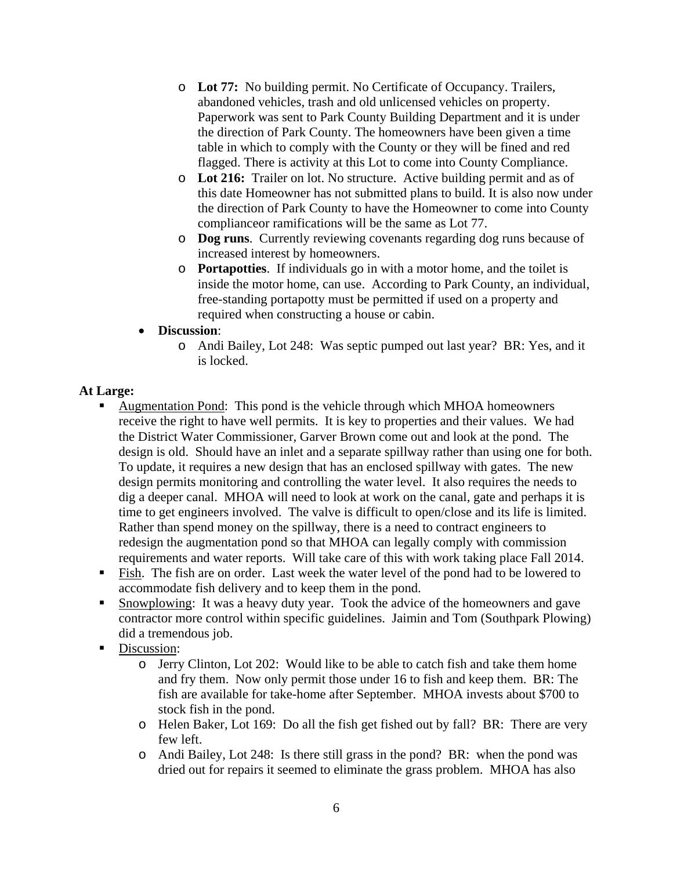- o **Lot 77:** No building permit. No Certificate of Occupancy. Trailers, abandoned vehicles, trash and old unlicensed vehicles on property. Paperwork was sent to Park County Building Department and it is under the direction of Park County. The homeowners have been given a time table in which to comply with the County or they will be fined and red flagged. There is activity at this Lot to come into County Compliance.
- o **Lot 216:** Trailer on lot. No structure. Active building permit and as of this date Homeowner has not submitted plans to build. It is also now under the direction of Park County to have the Homeowner to come into County complianceor ramifications will be the same as Lot 77.
- o **Dog runs**. Currently reviewing covenants regarding dog runs because of increased interest by homeowners.
- o **Portapotties**. If individuals go in with a motor home, and the toilet is inside the motor home, can use. According to Park County, an individual, free-standing portapotty must be permitted if used on a property and required when constructing a house or cabin.
- **Discussion**:
	- o Andi Bailey, Lot 248: Was septic pumped out last year? BR: Yes, and it is locked.

## **At Large:**

- Augmentation Pond: This pond is the vehicle through which MHOA homeowners receive the right to have well permits. It is key to properties and their values. We had the District Water Commissioner, Garver Brown come out and look at the pond. The design is old. Should have an inlet and a separate spillway rather than using one for both. To update, it requires a new design that has an enclosed spillway with gates. The new design permits monitoring and controlling the water level. It also requires the needs to dig a deeper canal. MHOA will need to look at work on the canal, gate and perhaps it is time to get engineers involved. The valve is difficult to open/close and its life is limited. Rather than spend money on the spillway, there is a need to contract engineers to redesign the augmentation pond so that MHOA can legally comply with commission requirements and water reports. Will take care of this with work taking place Fall 2014.
- Fish. The fish are on order. Last week the water level of the pond had to be lowered to accommodate fish delivery and to keep them in the pond.
- Snowplowing: It was a heavy duty year. Took the advice of the homeowners and gave contractor more control within specific guidelines. Jaimin and Tom (Southpark Plowing) did a tremendous job.
- Discussion:
	- o Jerry Clinton, Lot 202: Would like to be able to catch fish and take them home and fry them. Now only permit those under 16 to fish and keep them. BR: The fish are available for take-home after September. MHOA invests about \$700 to stock fish in the pond.
	- o Helen Baker, Lot 169: Do all the fish get fished out by fall? BR: There are very few left.
	- o Andi Bailey, Lot 248: Is there still grass in the pond? BR: when the pond was dried out for repairs it seemed to eliminate the grass problem. MHOA has also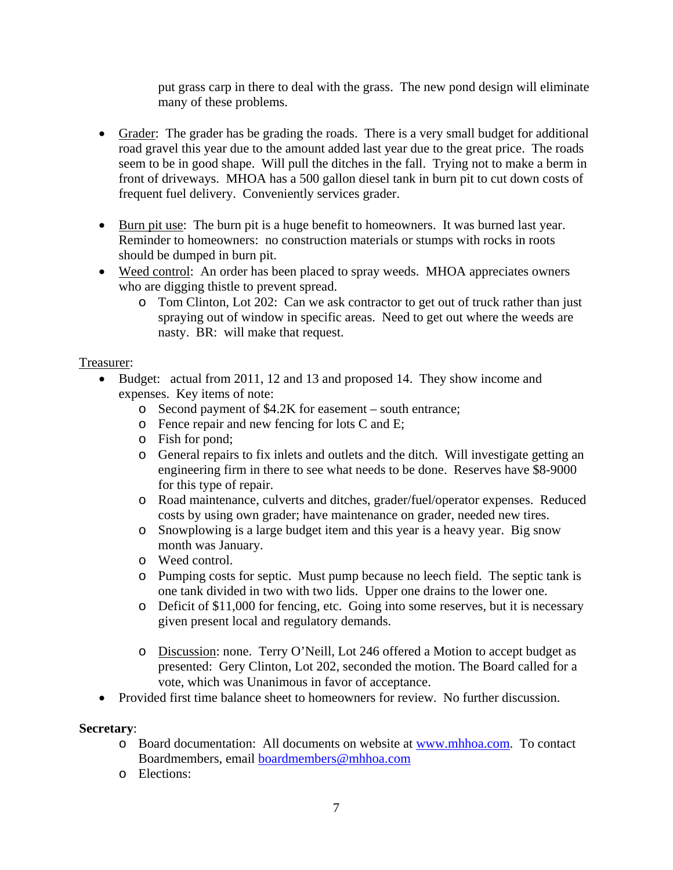put grass carp in there to deal with the grass. The new pond design will eliminate many of these problems.

- Grader: The grader has be grading the roads. There is a very small budget for additional road gravel this year due to the amount added last year due to the great price. The roads seem to be in good shape. Will pull the ditches in the fall. Trying not to make a berm in front of driveways. MHOA has a 500 gallon diesel tank in burn pit to cut down costs of frequent fuel delivery. Conveniently services grader.
- Burn pit use: The burn pit is a huge benefit to homeowners. It was burned last year. Reminder to homeowners: no construction materials or stumps with rocks in roots should be dumped in burn pit.
- Weed control: An order has been placed to spray weeds. MHOA appreciates owners who are digging thistle to prevent spread.
	- o Tom Clinton, Lot 202: Can we ask contractor to get out of truck rather than just spraying out of window in specific areas. Need to get out where the weeds are nasty. BR: will make that request.

## Treasurer:

- Budget: actual from 2011, 12 and 13 and proposed 14. They show income and expenses. Key items of note:
	- o Second payment of \$4.2K for easement south entrance;
	- o Fence repair and new fencing for lots C and E;
	- o Fish for pond;
	- o General repairs to fix inlets and outlets and the ditch. Will investigate getting an engineering firm in there to see what needs to be done. Reserves have \$8-9000 for this type of repair.
	- o Road maintenance, culverts and ditches, grader/fuel/operator expenses. Reduced costs by using own grader; have maintenance on grader, needed new tires.
	- o Snowplowing is a large budget item and this year is a heavy year. Big snow month was January.
	- o Weed control.
	- o Pumping costs for septic. Must pump because no leech field. The septic tank is one tank divided in two with two lids. Upper one drains to the lower one.
	- o Deficit of \$11,000 for fencing, etc. Going into some reserves, but it is necessary given present local and regulatory demands.
	- o Discussion: none. Terry O'Neill, Lot 246 offered a Motion to accept budget as presented: Gery Clinton, Lot 202, seconded the motion. The Board called for a vote, which was Unanimous in favor of acceptance.
- Provided first time balance sheet to homeowners for review. No further discussion.

#### **Secretary**:

- o Board documentation: All documents on website at www.mhhoa.com. To contact Boardmembers, email boardmembers@mhhoa.com
- o Elections: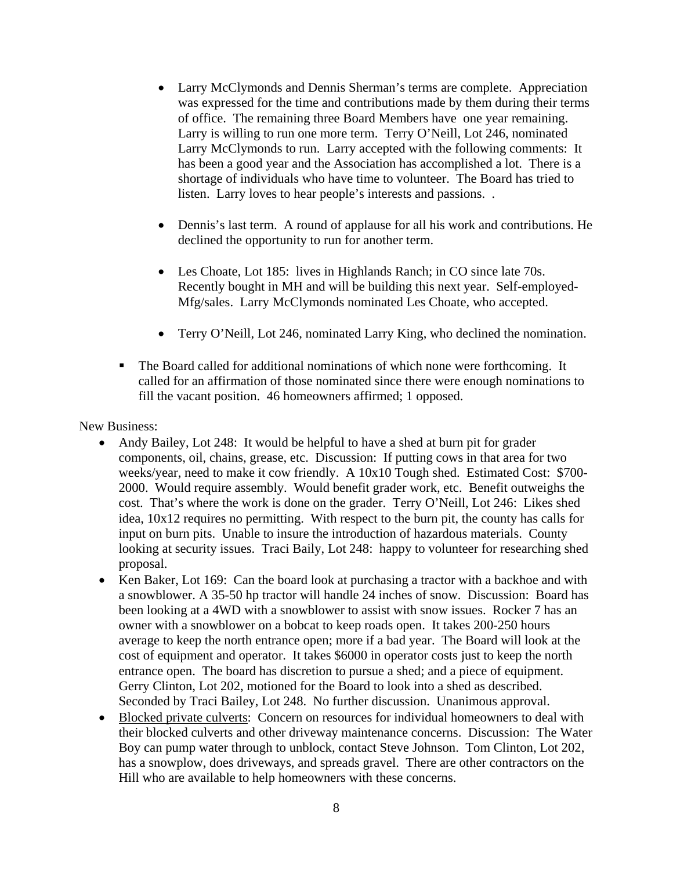- Larry McClymonds and Dennis Sherman's terms are complete. Appreciation was expressed for the time and contributions made by them during their terms of office. The remaining three Board Members have one year remaining. Larry is willing to run one more term. Terry O'Neill, Lot 246, nominated Larry McClymonds to run. Larry accepted with the following comments: It has been a good year and the Association has accomplished a lot. There is a shortage of individuals who have time to volunteer. The Board has tried to listen. Larry loves to hear people's interests and passions. .
- Dennis's last term. A round of applause for all his work and contributions. He declined the opportunity to run for another term.
- Les Choate, Lot 185: lives in Highlands Ranch; in CO since late 70s. Recently bought in MH and will be building this next year. Self-employed-Mfg/sales. Larry McClymonds nominated Les Choate, who accepted.
- Terry O'Neill, Lot 246, nominated Larry King, who declined the nomination.
- The Board called for additional nominations of which none were forthcoming. It called for an affirmation of those nominated since there were enough nominations to fill the vacant position. 46 homeowners affirmed; 1 opposed.

New Business:

- Andy Bailey, Lot 248: It would be helpful to have a shed at burn pit for grader components, oil, chains, grease, etc. Discussion: If putting cows in that area for two weeks/year, need to make it cow friendly. A 10x10 Tough shed. Estimated Cost: \$700- 2000. Would require assembly. Would benefit grader work, etc. Benefit outweighs the cost. That's where the work is done on the grader. Terry O'Neill, Lot 246: Likes shed idea, 10x12 requires no permitting. With respect to the burn pit, the county has calls for input on burn pits. Unable to insure the introduction of hazardous materials. County looking at security issues. Traci Baily, Lot 248: happy to volunteer for researching shed proposal.
- Ken Baker, Lot 169: Can the board look at purchasing a tractor with a backhoe and with a snowblower. A 35-50 hp tractor will handle 24 inches of snow. Discussion: Board has been looking at a 4WD with a snowblower to assist with snow issues. Rocker 7 has an owner with a snowblower on a bobcat to keep roads open. It takes 200-250 hours average to keep the north entrance open; more if a bad year. The Board will look at the cost of equipment and operator. It takes \$6000 in operator costs just to keep the north entrance open. The board has discretion to pursue a shed; and a piece of equipment. Gerry Clinton, Lot 202, motioned for the Board to look into a shed as described. Seconded by Traci Bailey, Lot 248. No further discussion. Unanimous approval.
- Blocked private culverts: Concern on resources for individual homeowners to deal with their blocked culverts and other driveway maintenance concerns. Discussion: The Water Boy can pump water through to unblock, contact Steve Johnson. Tom Clinton, Lot 202, has a snowplow, does driveways, and spreads gravel. There are other contractors on the Hill who are available to help homeowners with these concerns.